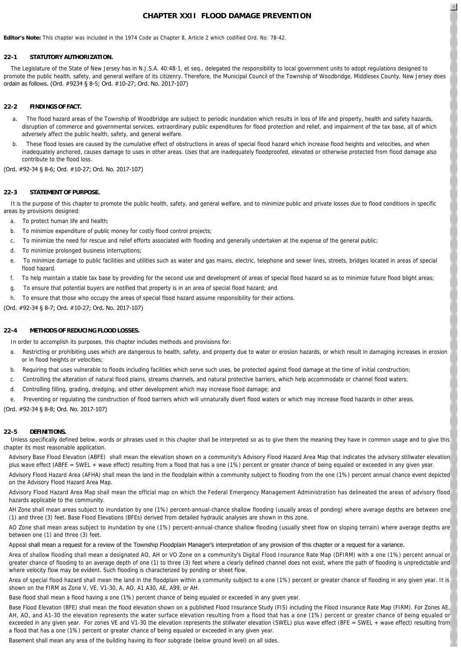# **CHAPTER XXII FLOOD DAMAGE PREVENTION**

**Editor's Note:** This chapter was included in the 1974 Code as Chapter 8, Article 2 which codified Ord. No. 78-42.

### **22-1 STATUTORY AUTHORIZATION.**

 The Legislature of the State of New Jersey has in N.J.S.A. 40:48-1, et seq., delegated the responsibility to local government units to adopt regulations designed to promote the public health, safety, and general welfare of its citizenry. Therefore, the Municipal Council of the Township of Woodbridge, Middlesex County, New Jersey does ordain as follows. (Ord. #9234 § 8-5; Ord. #10-27; Ord. No. 2017-107)

### **22-2 FINDINGS OF FACT.**

- a. The flood hazard areas of the Township of Woodbridge are subject to periodic inundation which results in loss of life and property, health and safety hazards, disruption of commerce and governmental services, extraordinary public expenditures for flood protection and relief, and impairment of the tax base, all of which adversely affect the public health, safety, and general welfare.
- b. These flood losses are caused by the cumulative effect of obstructions in areas of special flood hazard which increase flood heights and velocities, and when inadequately anchored, causes damage to uses in other areas. Uses that are inadequately floodproofed, elevated or otherwise protected from flood damage also contribute to the flood loss.

#### (Ord. #92-34 § 8-6; Ord. #10-27; Ord. No. 2017-107)

#### **22-3 STATEMENT OF PURPOSE.**

It is the purpose of this chapter to promote the public health, safety, and general welfare, and to minimize public and private losses due to flood conditions in specific areas by provisions designed:

- a. To protect human life and health;
- b. To minimize expenditure of public money for costly flood control projects;
- c. To minimize the need for rescue and relief efforts associated with flooding and generally undertaken at the expense of the general public;
- d. To minimize prolonged business interruptions;
- e. To minimize damage to public facilities and utilities such as water and gas mains, electric, telephone and sewer lines, streets, bridges located in areas of special flood hazard.
- f. To help maintain a stable tax base by providing for the second use and development of areas of special flood hazard so as to minimize future flood blight areas;
- g. To ensure that potential buyers are notified that property is in an area of special flood hazard; and
- h. To ensure that those who occupy the areas of special flood hazard assume responsibility for their actions.

(Ord. #92-34 § 8-7; Ord. #10-27; Ord. No. 2017-107)

### **22-4 METHODS OF REDUCING FLOOD LOSSES.**

In order to accomplish its purposes, this chapter includes methods and provisions for:

- a. Restricting or prohibiting uses which are dangerous to health, safety, and property due to water or erosion hazards, or which result in damaging increases in erosion or in flood heights or velocities;
- b. Requiring that uses vulnerable to floods including facilities which serve such uses, be protected against flood damage at the time of initial construction;
- c. Controlling the alteration of natural flood plains, streams channels, and natural protective barriers, which help accommodate or channel flood waters;
- d. Controlling filling, grading, dredging, and other development which may increase flood damage; and
- e. Preventing or regulating the construction of flood barriers which will unnaturally divert flood waters or which may increase flood hazards in other areas.

#### (Ord. #92-34 § 8-8; Ord. No. 2017-107)

### **22-5 DEFINITIONS.**

Unless specifically defined below, words or phrases used in this chapter shall be interpreted so as to give them the meaning they have in common usage and to give this chapter its most reasonable application.

*Advisory Base Flood Elevation (ABFE)* shall mean the elevation shown on a community's Advisory Flood Hazard Area Map that indicates the advisory stillwater elevation plus wave effect (ABFE = SWEL + wave effect) resulting from a flood that has a one (1%) percent or greater chance of being equaled or exceeded in any given year.

*Advisory Flood Hazard Area (AFHA)* shall mean the land in the floodplain within a community subject to flooding from the one (1%) percent annual chance event depicted on the Advisory Flood Hazard Area Map.

*Advisory Flood Hazard Area Map* shall mean the official map on which the Federal Emergency Management Administration has delineated the areas of advisory flood hazards applicable to the community.

*AH Zone* shall mean areas subject to inundation by one (1%) percent-annual-chance shallow flooding (usually areas of ponding) where average depths are between one (1) and three (3) feet. Base Flood Elevations (BFEs) derived from detailed hydraulic analyses are shown in this zone.

*AO Zone* shall mean areas subject to inundation by one (1%) percent-annual-chance shallow flooding (usually sheet flow on sloping terrain) where average depths are between one (1) and three (3) feet.

### *Appeal* shall mean a request for a review of the Township Floodplain Manager's interpretation of any provision of this chapter or a request for a variance.

*Area of shallow flooding* shall mean a designated AO, AH or VO Zone on a community's Digital Flood Insurance Rate Map (DFIRM) with a one (1%) percent annual or greater chance of flooding to an average depth of one (1) to three (3) feet where a clearly defined channel does not exist, where the path of flooding is unpredictable and where velocity flow may be evident. Such flooding is characterized by ponding or sheet flow.

*Area of special flood hazard* shall mean the land in the floodplain within a community subject to a one (1%) percent or greater chance of flooding in any given year. It is shown on the FIRM as Zone V, VE, V1-30, A, AO, A1 A30, AE, A99, or AH.

*Base flood* shall mean a flood having a one (1%) percent chance of being equaled or exceeded in any given year.

*Base Flood Elevation (BFE)* shall mean the flood elevation shown on a published Flood Insurance Study (FIS) including the Flood Insurance Rate Map (FIRM). For Zones AE, AH, AO, and A1-30 the elevation represents the water surface elevation resulting from a flood that has a one (1%) percent or greater chance of being equaled or exceeded in any given year. For zones VE and V1-30 the elevation represents the stillwater elevation (SWEL) plus wave effect (BFE = SWEL + wave effect) resulting from a flood that has a one (1%) percent or greater chance of being equaled or exceeded in any given year.

*Basement* shall mean any area of the building having its floor subgrade (below ground level) on all sides.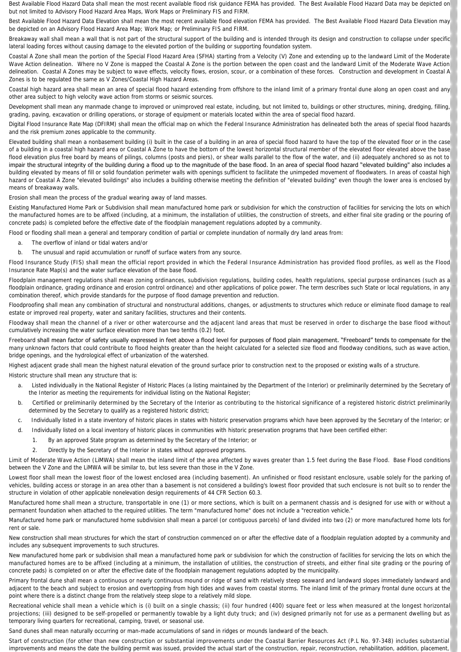*Best Available Flood Hazard Data* shall mean the most recent available flood risk guidance FEMA has provided. The Best Available Flood Hazard Data may be depicted on but not limited to Advisory Flood Hazard Area Maps, Work Maps or Preliminary FIS and FIRM.

*Best Available Flood Hazard Data Elevation* shall mean the most recent available flood elevation FEMA has provided. The Best Available Flood Hazard Data Elevation may be depicted on an Advisory Flood Hazard Area Map; Work Map; or Preliminary FIS and FIRM.

*Breakaway wall* shall mean a wall that is not part of the structural support of the building and is intended through its design and construction to collapse under specific lateral loading forces without causing damage to the elevated portion of the building or supporting foundation system.

*Coastal A Zone* shall mean the portion of the Special Flood Hazard Area (SFHA) starting from a Velocity (V) Zone and extending up to the landward Limit of the Moderate Wave Action delineation. Where no V Zone is mapped the Coastal A Zone is the portion between the open coast and the landward Limit of the Moderate Wave Action delineation. Coastal A Zones may be subject to wave effects, velocity flows, erosion, scour, or a combination of these forces. Construction and development in Coastal A Zones is to be regulated the same as V Zones/Coastal High Hazard Areas.

*Coastal high hazard area* shall mean an area of special flood hazard extending from offshore to the inland limit of a primary frontal dune along an open coast and any other area subject to high velocity wave action from storms or seismic sources.

Development shall mean any manmade change to improved or unimproved real estate, including, but not limited to, buildings or other structures, mining, dredging, filling, grading, paving, excavation or drilling operations, or storage of equipment or materials located within the area of special flood hazard.

*Digital Flood Insurance Rate Map (DFIRM)* shall mean the official map on which the Federal Insurance Administration has delineated both the areas of special flood hazards and the risk premium zones applicable to the community.

*Elevated building* shall mean a nonbasement building (i) built in the case of a building in an area of special flood hazard to have the top of the elevated floor or in the case of a building in a coastal high hazard area or Coastal A Zone to have the bottom of the lowest horizontal structural member of the elevated floor elevated above the base flood elevation plus free board by means of pilings, columns (posts and piers), or shear walls parallel to the flow of the water, and (ii) adequately anchored so as not to impair the structural integrity of the building during a flood up to the magnitude of the base flood. In an area of special flood hazard "elevated building" also includes a building elevated by means of fill or solid foundation perimeter walls with openings sufficient to facilitate the unimpeded movement of floodwaters. In areas of coastal high hazard or Coastal A Zone "elevated buildings" also includes a building otherwise meeting the definition of "elevated building" even though the lower area is enclosed by means of breakaway walls.

*Erosion* shall mean the process of the gradual wearing away of land masses.

Existing Manufactured Home Park or Subdivision shall mean manufactured home park or subdivision for which the construction of facilities for servicing the lots on which the manufactured homes are to be affixed (including, at a minimum, the installation of utilities, the construction of streets, and either final site grading or the pouring of concrete pads) is completed before the effective date of the floodplain management regulations adopted by a community.

*Flood or flooding* shall mean a general and temporary condition of partial or complete inundation of normally dry land areas from:

- a. The overflow of inland or tidal waters and/or
- b. The unusual and rapid accumulation or runoff of surface waters from any source.

*Flood Insurance Study (FIS)* shall mean the official report provided in which the Federal Insurance Administration has provided flood profiles, as well as the Flood Insurance Rate Map(s) and the water surface elevation of the base flood.

*Floodplain management regulations* shall mean zoning ordinances, subdivision regulations, building codes, health regulations, special purpose ordinances (such as a floodplain ordinance, grading ordinance and erosion control ordinance) and other applications of police power. The term describes such State or local regulations, in any combination thereof, which provide standards for the purpose of flood damage prevention and reduction.

*Floodproofing* shall mean any combination of structural and nonstructural additions, changes, or adjustments to structures which reduce or eliminate flood damage to real estate or improved real property, water and sanitary facilities, structures and their contents.

*Floodway* shall mean the channel of a river or other watercourse and the adjacent land areas that must be reserved in order to discharge the base flood without cumulatively increasing the water surface elevation more than two tenths (0.2) foot.

*Freeboard* shall mean factor of safety usually expressed in feet above a flood level for purposes of flood plain management. "Freeboard" tends to compensate for the many unknown factors that could contribute to flood heights greater than the height calculated for a selected size flood and floodway conditions, such as wave action, bridge openings, and the hydrological effect of urbanization of the watershed.

*Highest adjacent grade* shall mean the highest natural elevation of the ground surface prior to construction next to the proposed or existing walls of a structure.

*Historic structure* shall mean any structure that is:

- a. Listed individually in the National Register of Historic Places (a listing maintained by the Department of the Interior) or preliminarily determined by the Secretary of the Interior as meeting the requirements for individual listing on the National Register;
- b. Certified or preliminarily determined by the Secretary of the Interior as contributing to the historical significance of a registered historic district preliminarily determined by the Secretary to qualify as a registered historic district;
- c. Individually listed in a state inventory of historic places in states with historic preservation programs which have been approved by the Secretary of the Interior; or
- d. Individually listed on a local inventory of historic places in communities with historic preservation programs that have been certified either:
	- 1. By an approved State program as determined by the Secretary of the Interior; or
	- 2. Directly by the Secretary of the Interior in states without approved programs.

*Limit of Moderate Wave Action (LiMWA)* shall mean the inland limit of the area affected by waves greater than 1.5 feet during the Base Flood. Base Flood conditions between the V Zone and the LiMWA will be similar to, but less severe than those in the V Zone.

Lowest floor shall mean the lowest floor of the lowest enclosed area (including basement). An unfinished or flood resistant enclosure, usable solely for the parking of vehicles, building access or storage in an area other than a basement is not considered a building's lowest floor provided that such enclosure is not built so to render the structure in violation of other applicable nonelevation design requirements of 44 CFR Section 60.3.

*Manufactured home* shall mean a structure, transportable in one (1) or more sections, which is built on a permanent chassis and is designed for use with or without a permanent foundation when attached to the required utilities. The term "manufactured home" does not include a "recreation vehicle."

Manufactured home park or manufactured home subdivision shall mean a parcel (or contiguous parcels) of land divided into two (2) or more manufactured home lots for rent or sale.

*New construction* shall mean structures for which the start of construction commenced on or after the effective date of a floodplain regulation adopted by a community and includes any subsequent improvements to such structures.

*New manufactured home park or subdivision* shall mean a manufactured home park or subdivision for which the construction of facilities for servicing the lots on which the manufactured homes are to be affixed (including at a minimum, the installation of utilities, the construction of streets, and either final site grading or the pouring of concrete pads) is completed on or after the effective date of the floodplain management regulations adopted by the municipality.

Primary frontal dune shall mean a continuous or nearly continuous mound or ridge of sand with relatively steep seaward and landward slopes immediately landward and adjacent to the beach and subject to erosion and overtopping from high tides and waves from coastal storms. The inland limit of the primary frontal dune occurs at the point where there is a distinct change from the relatively steep slope to a relatively mild slope.

*Recreational vehicle* shall mean a vehicle which is (i) built on a single chassis; (ii) four hundred (400) square feet or less when measured at the longest horizontal projections; (iii) designed to be self-propelled or permanently towable by a light duty truck; and (iv) designed primarily not for use as a permanent dwelling but as temporary living quarters for recreational, camping, travel, or seasonal use.

*Sand dunes* shall mean naturally occurring or man-made accumulations of sand in ridges or mounds landward of the beach.

*Start of construction* (for other than new construction or substantial improvements under the Coastal Barrier Resources Act (P.L No. 97-348) includes substantial improvements and means the date the building permit was issued, provided the actual start of the construction, repair, reconstruction, rehabilitation, addition, placement,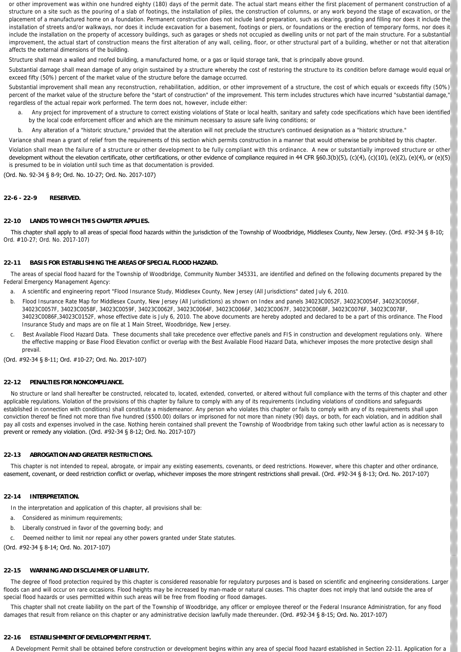or other improvement was within one hundred eighty (180) days of the permit date. The actual start means either the first placement of permanent construction of a structure on a site such as the pouring of a slab of footings, the installation of piles, the construction of columns, or any work beyond the stage of excavation, or the placement of a manufactured home on a foundation. Permanent construction does not include land preparation, such as clearing, grading and filling nor does it include the installation of streets and/or walkways, nor does it include excavation for a basement, footings or piers, or foundations or the erection of temporary forms, nor does it include the installation on the property of accessory buildings, such as garages or sheds not occupied as dwelling units or not part of the main structure. For a substantial improvement, the actual start of construction means the first alteration of any wall, ceiling, floor, or other structural part of a building, whether or not that alteration affects the external dimensions of the building.

*Structure* shall mean a walled and roofed building, a manufactured home, or a gas or liquid storage tank, that is principally above ground.

*Substantial damage* shall mean damage of any origin sustained by a structure whereby the cost of restoring the structure to its condition before damage would equal or exceed fifty (50%) percent of the market value of the structure before the damage occurred.

*Substantial improvement* shall mean any reconstruction, rehabilitation, addition, or other improvement of a structure, the cost of which equals or exceeds fifty (50%) percent of the market value of the structure before the "start of construction" of the improvement. This term includes structures which have incurred "substantial damage, regardless of the actual repair work performed. The term does not, however, include either:

- a. Any project for improvement of a structure to correct existing violations of State or local health, sanitary and safety code specifications which have been identified by the local code enforcement officer and which are the minimum necessary to assure safe living conditions; or
- b. Any alteration of a "historic structure," provided that the alteration will not preclude the structure's continued designation as a "historic structure."

*Variance* shall mean a grant of relief from the requirements of this section which permits construction in a manner that would otherwise be prohibited by this chapter.

*Violation* shall mean the failure of a structure or other development to be fully compliant with this ordinance. A new or substantially improved structure or other development without the elevation certificate, other certifications, or other evidence of compliance required in 44 CFR §60.3(b)(5), (c)(4), (c)(10), (e)(2), (e)(4), or (e)(5) is presumed to be in violation until such time as that documentation is provided.

(Ord. No. 92-34 § 8-9; Ord. No. 10-27; Ord. No. 2017-107)

## **22-6 - 22-9 RESERVED.**

## **22-10 LANDS TO WHICH THIS CHAPTER APPLIES.**

This chapter shall apply to all areas of special flood hazards within the jurisdiction of the Township of Woodbridge, Middlesex County, New Jersey. (Ord. #92-34 § 8-10; Ord. #10-27; Ord. No. 2017-107)

### **22-11 BASIS FOR ESTABLISHING THE AREAS OF SPECIAL FLOOD HAZARD.**

 The areas of special flood hazard for the Township of Woodbridge, Community Number 345331, are identified and defined on the following documents prepared by the Federal Emergency Management Agency:

- a. A scientific and engineering report "Flood Insurance Study, Middlesex County, New Jersey (All Jurisdictions" dated July 6, 2010.
- b. Flood Insurance Rate Map for Middlesex County, New Jersey (All Jurisdictions) as shown on Index and panels 34023C0052F, 34023C0054F, 34023C0054F, 34023C0056F, 34023C0057F, 34023C0058F, 34023C0059F, 34023C0062F, 34023C0064F, 34023C0066F, 34023C0067F, 34023C0068F, 34023C0076F, 34023C0078F, 34023C0086F,34023C0152F, whose effective date is July 6, 2010. The above documents are hereby adopted and declared to be a part of this ordinance. The Flood Insurance Study and maps are on file at 1 Main Street, Woodbridge, New Jersey.
- c. *Best Available Flood Hazard Data.* These documents shall take precedence over effective panels and FIS in construction and development regulations only. Where the effective mapping or Base Flood Elevation conflict or overlap with the Best Available Flood Hazard Data, whichever imposes the more protective design shall prevail.

### (Ord. #92-34 § 8-11; Ord. #10-27; Ord. No. 2017-107)

### **22-12 PENALTIES FOR NONCOMPLIANCE.**

 No structure or land shall hereafter be constructed, relocated to, located, extended, converted, or altered without full compliance with the terms of this chapter and other applicable regulations. Violation of the provisions of this chapter by failure to comply with any of its requirements (including violations of conditions and safeguards established in connection with conditions) shall constitute a misdemeanor. Any person who violates this chapter or fails to comply with any of its requirements shall upon conviction thereof be fined not more than five hundred (\$500.00) dollars or imprisoned for not more than ninety (90) days, or both, for each violation, and in addition shall pay all costs and expenses involved in the case. Nothing herein contained shall prevent the Township of Woodbridge from taking such other lawful action as is necessary to prevent or remedy any violation. (Ord. #92-34 § 8-12; Ord. No. 2017-107)

### **22-13 ABROGATION AND GREATER RESTRICTIONS.**

 This chapter is not intended to repeal, abrogate, or impair any existing easements, covenants, or deed restrictions. However, where this chapter and other ordinance, easement, covenant, or deed restriction conflict or overlap, whichever imposes the more stringent restrictions shall prevail. (Ord. #92-34 § 8-13; Ord. No. 2017-107)

### **22-14 INTERPRETATION.**

In the interpretation and application of this chapter, all provisions shall be:

- a. Considered as minimum requirements;
- b. Liberally construed in favor of the governing body; and
- c. Deemed neither to limit nor repeal any other powers granted under State statutes.

(Ord. #92-34 § 8-14; Ord. No. 2017-107)

### **22-15 WARNING AND DISCLAIMER OF LIABILITY.**

 The degree of flood protection required by this chapter is considered reasonable for regulatory purposes and is based on scientific and engineering considerations. Larger floods can and will occur on rare occasions. Flood heights may be increased by man-made or natural causes. This chapter does not imply that land outside the area of special flood hazards or uses permitted within such areas will be free from flooding or flood damages.

 This chapter shall not create liability on the part of the Township of Woodbridge, any officer or employee thereof or the Federal Insurance Administration, for any flood damages that result from reliance on this chapter or any administrative decision lawfully made thereunder. (Ord. #92-34 § 8-15; Ord. No. 2017-107)

#### **22-16 ESTABLISHMENT OF DEVELOPMENT PERMIT.**

A Development Permit shall be obtained before construction or development begins within any area of special flood hazard established in Section 22-11. Application for a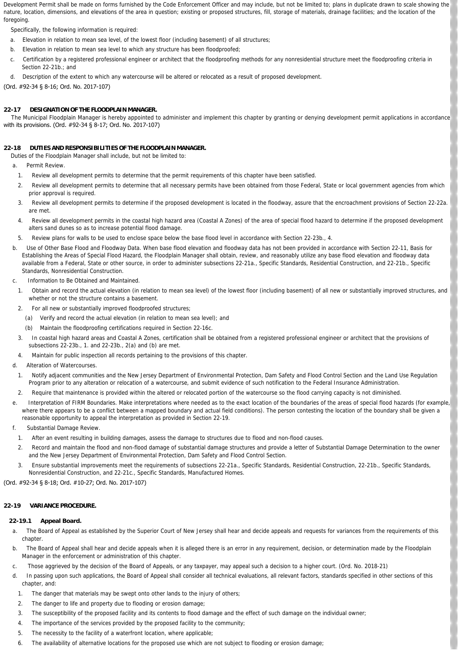Development Permit shall be made on forms furnished by the Code Enforcement Officer and may include, but not be limited to; plans in duplicate drawn to scale showing the nature, location, dimensions, and elevations of the area in question; existing or proposed structures, fill, storage of materials, drainage facilities; and the location of the foregoing

Specifically, the following information is required:

- a. Elevation in relation to mean sea level, of the lowest floor (including basement) of all structures;
- b. Elevation in relation to mean sea level to which any structure has been floodproofed;
- c. Certification by a registered professional engineer or architect that the floodproofing methods for any nonresidential structure meet the floodproofing criteria in Section 22-21b.; and
- d. Description of the extent to which any watercourse will be altered or relocated as a result of proposed development.

(Ord. #92-34 § 8-16; Ord. No. 2017-107)

# **22-17 DESIGNATION OF THE FLOODPLAIN MANAGER.**

 The Municipal Floodplain Manager is hereby appointed to administer and implement this chapter by granting or denying development permit applications in accordance with its provisions. (Ord. #92-34 § 8-17; Ord. No. 2017-107)

# **22-18 DUTIES AND RESPONSIBILITIES OF THE FLOODPLAIN MANAGER.**

Duties of the Floodplain Manager shall include, but not be limited to:

- a. *Permit Review.*
	- 1. Review all development permits to determine that the permit requirements of this chapter have been satisfied.
	- 2. Review all development permits to determine that all necessary permits have been obtained from those Federal, State or local government agencies from which prior approval is required.
	- 3. Review all development permits to determine if the proposed development is located in the floodway, assure that the encroachment provisions of Section 22-22a. are met.
	- 4. Review all development permits in the coastal high hazard area (Coastal A Zones) of the area of special flood hazard to determine if the proposed development alters sand dunes so as to increase potential flood damage.
	- 5. Review plans for walls to be used to enclose space below the base flood level in accordance with Section 22-23b., 4.
- b. *Use of Other Base Flood and Floodway Data.* When base flood elevation and floodway data has not been provided in accordance with Section 22-11, Basis for Establishing the Areas of Special Flood Hazard, the Floodplain Manager shall obtain, review, and reasonably utilize any base flood elevation and floodway data available from a Federal, State or other source, in order to administer subsections 22-21a., Specific Standards, Residential Construction, and 22-21b., Specific Standards, Nonresidential Construction.
- c. *Information to Be Obtained and Maintained.*
	- 1. Obtain and record the actual elevation (in relation to mean sea level) of the lowest floor (including basement) of all new or substantially improved structures, and whether or not the structure contains a basement.
	- 2. For all new or substantially improved floodproofed structures;
		- (a) Verify and record the actual elevation (in relation to mean sea level); and
		- (b) Maintain the floodproofing certifications required in Section 22-16c.
	- 3. In coastal high hazard areas and Coastal A Zones, certification shall be obtained from a registered professional engineer or architect that the provisions of subsections 22-23b., 1. and 22-23b., 2(a) and (b) are met.
- 4. Maintain for public inspection all records pertaining to the provisions of this chapter.
- d. *Alteration of Watercourses.*
	- 1. Notify adjacent communities and the New Jersey Department of Environmental Protection, Dam Safety and Flood Control Section and the Land Use Regulation Program prior to any alteration or relocation of a watercourse, and submit evidence of such notification to the Federal Insurance Administration.
- 2. Require that maintenance is provided within the altered or relocated portion of the watercourse so the flood carrying capacity is not diminished.
- e. *Interpretation of FIRM Boundaries.* Make interpretations where needed as to the exact location of the boundaries of the areas of special flood hazards (for example, where there appears to be a conflict between a mapped boundary and actual field conditions). The person contesting the location of the boundary shall be given a reasonable opportunity to appeal the interpretation as provided in Section 22-19.
- Substantial Damage Review.
- 1. After an event resulting in building damages, assess the damage to structures due to flood and non-flood causes.
- 2. Record and maintain the flood and non-flood damage of substantial damage structures and provide a letter of Substantial Damage Determination to the owner and the New Jersey Department of Environmental Protection, Dam Safety and Flood Control Section.
- 3. Ensure substantial improvements meet the requirements of subsections 22-21a., Specific Standards, Residential Construction, 22-21b., Specific Standards, Nonresidential Construction, and 22-21c., Specific Standards, Manufactured Homes.

### (Ord. #92-34 § 8-18; Ord. #10-27; Ord. No. 2017-107)

### **22-19 VARIANCE PROCEDURE.**

### **22-19.1 Appeal Board.**

- a. The Board of Appeal as established by the Superior Court of New Jersey shall hear and decide appeals and requests for variances from the requirements of this chapter.
- b. The Board of Appeal shall hear and decide appeals when it is alleged there is an error in any requirement, decision, or determination made by the Floodplain Manager in the enforcement or administration of this chapter.
- c. Those aggrieved by the decision of the Board of Appeals, or any taxpayer, may appeal such a decision to a higher court. (Ord. No. 2018-21)
- d. In passing upon such applications, the Board of Appeal shall consider all technical evaluations, all relevant factors, standards specified in other sections of this chapter, and:
- 1. The danger that materials may be swept onto other lands to the injury of others;
- 2. The danger to life and property due to flooding or erosion damage;
- 3. The susceptibility of the proposed facility and its contents to flood damage and the effect of such damage on the individual owner;
- 4. The importance of the services provided by the proposed facility to the community;
- 5. The necessity to the facility of a waterfront location, where applicable;
- 6. The availability of alternative locations for the proposed use which are not subject to flooding or erosion damage;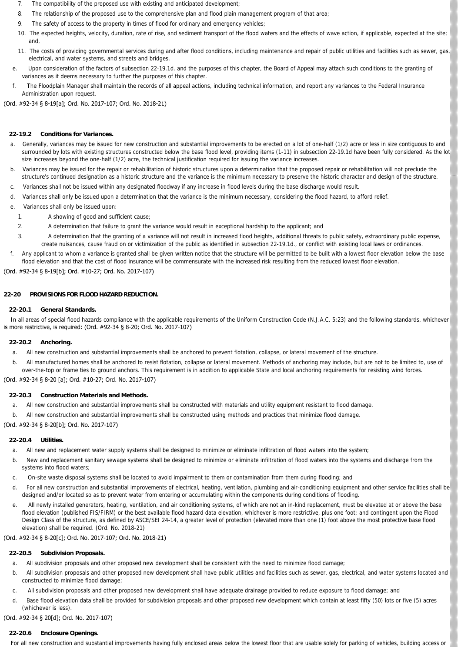- 7. The compatibility of the proposed use with existing and anticipated development;
- 8. The relationship of the proposed use to the comprehensive plan and flood plain management program of that area;
- 9. The safety of access to the property in times of flood for ordinary and emergency vehicles;
- 10. The expected heights, velocity, duration, rate of rise, and sediment transport of the flood waters and the effects of wave action, if applicable, expected at the site; and,
- 11. The costs of providing governmental services during and after flood conditions, including maintenance and repair of public utilities and facilities such as sewer, gas, electrical, and water systems, and streets and bridges.
- e. Upon consideration of the factors of subsection 22-19.1d. and the purposes of this chapter, the Board of Appeal may attach such conditions to the granting of variances as it deems necessary to further the purposes of this chapter.
- f. The Floodplain Manager shall maintain the records of all appeal actions, including technical information, and report any variances to the Federal Insurance Administration upon request.

(Ord. #92-34 § 8-19[a]; Ord. No. 2017-107; Ord. No. 2018-21)

#### **22-19.2 Conditions for Variances.**

- a. Generally, variances may be issued for new construction and substantial improvements to be erected on a lot of one-half (1/2) acre or less in size contiguous to and surrounded by lots with existing structures constructed below the base flood level, providing items (1-11) in subsection 22-19.1d have been fully considered. As the lot size increases beyond the one-half (1/2) acre, the technical justification required for issuing the variance increases.
- b. Variances may be issued for the repair or rehabilitation of historic structures upon a determination that the proposed repair or rehabilitation will not preclude the structure's continued designation as a historic structure and the variance is the minimum necessary to preserve the historic character and design of the structure.
- c. Variances shall not be issued within any designated floodway if any increase in flood levels during the base discharge would result.
- d. Variances shall only be issued upon a determination that the variance is the minimum necessary, considering the flood hazard, to afford relief.
- e. Variances shall only be issued upon:
	- 1. A showing of good and sufficient cause;
	- 2. A determination that failure to grant the variance would result in exceptional hardship to the applicant; and
	- 3. A determination that the granting of a variance will not result in increased flood heights, additional threats to public safety, extraordinary public expense, create nuisances, cause fraud on or victimization of the public as identified in subsection 22-19.1d., or conflict with existing local laws or ordinances.
- Any applicant to whom a variance is granted shall be given written notice that the structure will be permitted to be built with a lowest floor elevation below the base flood elevation and that the cost of flood insurance will be commensurate with the increased risk resulting from the reduced lowest floor elevation.

(Ord. #92-34 § 8-19[b]; Ord. #10-27; Ord. No. 2017-107)

#### **22-20 PROVISIONS FOR FLOOD HAZARD REDUCTION.**

#### **22-20.1 General Standards.**

In all areas of special flood hazards compliance with the applicable requirements of the Uniform Construction Code (N.J.A.C. 5:23) and the following standards, whichever is more restrictive, is required: (Ord. #92-34 § 8-20; Ord. No. 2017-107)

#### **22-20.2 Anchoring.**

- a. All new construction and substantial improvements shall be anchored to prevent flotation, collapse, or lateral movement of the structure.
- b. All manufactured homes shall be anchored to resist flotation, collapse or lateral movement. Methods of anchoring may include, but are not to be limited to, use of over-the-top or frame ties to ground anchors. This requirement is in addition to applicable State and local anchoring requirements for resisting wind forces.

### (Ord. #92-34 § 8-20 [a]; Ord. #10-27; Ord. No. 2017-107)

#### **22-20.3 Construction Materials and Methods.**

- a. All new construction and substantial improvements shall be constructed with materials and utility equipment resistant to flood damage.
- b. All new construction and substantial improvements shall be constructed using methods and practices that minimize flood damage.

(Ord. #92-34 § 8-20[b]; Ord. No. 2017-107)

#### **22-20.4 Utilities.**

- a. All new and replacement water supply systems shall be designed to minimize or eliminate infiltration of flood waters into the system:
- b. New and replacement sanitary sewage systems shall be designed to minimize or eliminate infiltration of flood waters into the systems and discharge from the systems into flood waters
- c. On-site waste disposal systems shall be located to avoid impairment to them or contamination from them during flooding; and
- d. For all new construction and substantial improvements of electrical, heating, ventilation, plumbing and air-conditioning equipment and other service facilities shall be designed and/or located so as to prevent water from entering or accumulating within the components during conditions of flooding.
- e. All newly installed generators, heating, ventilation, and air conditioning systems, of which are not an in-kind replacement, must be elevated at or above the base flood elevation (published FIS/FIRM) or the best available flood hazard data elevation, whichever is more restrictive, plus one foot; and contingent upon the Flood Design Class of the structure, as defined by ASCE/SEI 24-14, a greater level of protection (elevated more than one (1) foot above the most protective base flood elevation) shall be required. (Ord. No. 2018-21)

# (Ord. #92-34 § 8-20[c]; Ord. No. 2017-107; Ord. No. 2018-21)

# **22-20.5 Subdivision Proposals.**

- a. All subdivision proposals and other proposed new development shall be consistent with the need to minimize flood damage;
- b. All subdivision proposals and other proposed new development shall have public utilities and facilities such as sewer, gas, electrical, and water systems located and constructed to minimize flood damage;
- c. All subdivision proposals and other proposed new development shall have adequate drainage provided to reduce exposure to flood damage; and
- d. Base flood elevation data shall be provided for subdivision proposals and other proposed new development which contain at least fifty (50) lots or five (5) acres (whichever is less).

(Ord. #92-34 § 20[d]; Ord. No. 2017-107)

# **22-20.6 Enclosure Openings.**

For all new construction and substantial improvements having fully enclosed areas below the lowest floor that are usable solely for parking of vehicles, building access or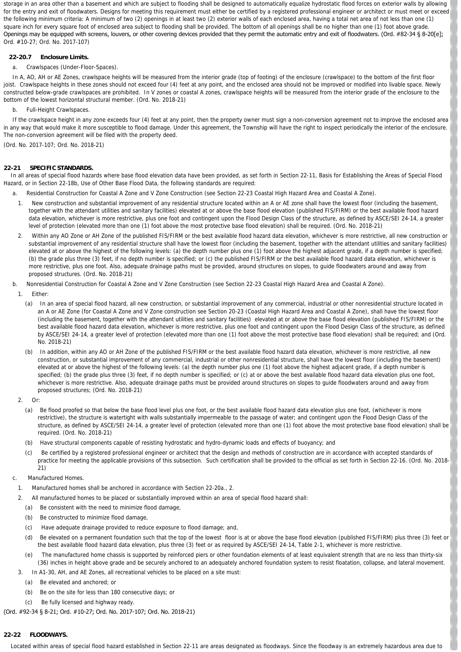storage in an area other than a basement and which are subject to flooding shall be designed to automatically equalize hydrostatic flood forces on exterior walls by allowing for the entry and exit of floodwaters. Designs for meeting this requirement must either be certified by a registered professional engineer or architect or must meet or exceed the following minimum criteria: A minimum of two (2) openings in at least two (2) exterior walls of each enclosed area, having a total net area of not less than one (1) square inch for every square foot of enclosed area subject to flooding shall be provided. The bottom of all openings shall be no higher than one (1) foot above grade. Openings may be equipped with screens, louvers, or other covering devices provided that they permit the automatic entry and exit of floodwaters. (Ord. #82-34 § 8-20[e]; Ord. #10-27; Ord. No. 2017-107)

### **22-20.7 Enclosure Limits.**

### a. *Crawlspaces (Under-Floor-Spaces).*

In A, AO, AH or AE Zones, crawlspace heights will be measured from the interior grade (top of footing) of the enclosure (crawlspace) to the bottom of the first floor joist. Crawlspace heights in these zones should not exceed four (4) feet at any point, and the enclosed area should not be improved or modified into livable space. Newly constructed below-grade crawlspaces are prohibited. In V zones or coastal A zones, crawlspace heights will be measured from the interior grade of the enclosure to the bottom of the lowest horizontal structural member. (Ord. No. 2018-21)

b. *Full-Height Crawlspaces.*

 If the crawlspace height in any zone exceeds four (4) feet at any point, then the property owner must sign a non-conversion agreement not to improve the enclosed area in any way that would make it more susceptible to flood damage. Under this agreement, the Township will have the right to inspect periodically the interior of the enclosure. The non-conversion agreement will be filed with the property deed.

(Ord. No. 2017-107; Ord. No. 2018-21)

### **22-21 SPECIFIC STANDARDS.**

 In all areas of special flood hazards where base flood elevation data have been provided, as set forth in Section 22-11, Basis for Establishing the Areas of Special Flood Hazard, or in Section 22-18b, Use of Other Base Flood Data, the following standards are required:

a. *Residential Construction for Coastal A Zone and V Zone Construction* (see Section 22-23 Coastal High Hazard Area and Coastal A Zone).

- 1. New construction and substantial improvement of any residential structure located within an A or AE zone shall have the lowest floor (including the basement, together with the attendant utilities and sanitary facilities) elevated at or above the base flood elevation (published FIS/FIRM) or the best available flood hazard data elevation, whichever is more restrictive, plus one foot and contingent upon the Flood Design Class of the structure, as defined by ASCE/SEI 24-14, a greater level of protection (elevated more than one (1) foot above the most protective base flood elevation) shall be required. (Ord. No. 2018-21)
- 2. Within any AO Zone or AH Zone of the published FIS/FIRM or the best available flood hazard data elevation, whichever is more restrictive, all new construction or substantial improvement of any residential structure shall have the lowest floor (including the basement, together with the attendant utilities and sanitary facilities) elevated at or above the highest of the following levels: (a) the depth number plus one (1) foot above the highest adjacent grade, if a depth number is specified; (b) the grade plus three (3) feet, if no depth number is specified; or (c) the published FIS/FIRM or the best available flood hazard data elevation, whichever is more restrictive, plus one foot. Also, adequate drainage paths must be provided, around structures on slopes, to guide floodwaters around and away from proposed structures. (Ord. No. 2018-21)
- b. *Nonresidential Construction for Coastal A Zone and V Zone Construction* (see Section 22-23 Coastal High Hazard Area and Coastal A Zone).
- 1. Either:
	- (a) In an area of special flood hazard, all new construction, or substantial improvement of any commercial, industrial or other nonresidential structure located in an A or AE Zone (for Coastal A Zone and V Zone construction see Section 20-23 (Coastal High Hazard Area and Coastal A Zone), shall have the lowest floor (including the basement, together with the attendant utilities and sanitary facilities) elevated at or above the base flood elevation (published FIS/FIRM) or the best available flood hazard data elevation, whichever is more restrictive, plus one foot and contingent upon the Flood Design Class of the structure, as defined by ASCE/SEI 24-14, a greater level of protection (elevated more than one (1) foot above the most protective base flood elevation) shall be required; and (Ord. No. 2018-21)
	- (b) In addition, within any AO or AH Zone of the published FIS/FIRM or the best available flood hazard data elevation, whichever is more restrictive, all new construction, or substantial improvement of any commercial, industrial or other nonresidential structure, shall have the lowest floor (including the basement) elevated at or above the highest of the following levels: (a) the depth number plus one (1) foot above the highest adjacent grade, if a depth number is specified; (b) the grade plus three (3) feet, if no depth number is specified; or (c) at or above the best available flood hazard data elevation plus one foot, whichever is more restrictive. Also, adequate drainage paths must be provided around structures on slopes to guide floodwaters around and away from proposed structures; (Ord. No. 2018-21)
- 2. Or:
	- (a) Be flood proofed so that below the base flood level plus one foot, or the best available flood hazard data elevation plus one foot, (whichever is more restrictive), the structure is watertight with walls substantially impermeable to the passage of water; and contingent upon the Flood Design Class of the structure, as defined by ASCE/SEI 24-14, a greater level of protection (elevated more than one (1) foot above the most protective base flood elevation) shall be required. (Ord. No. 2018-21)
	- (b) Have structural components capable of resisting hydrostatic and hydro-dynamic loads and effects of buoyancy; and
	- (c) Be certified by a registered professional engineer or architect that the design and methods of construction are in accordance with accepted standards of practice for meeting the applicable provisions of this subsection. Such certification shall be provided to the official as set forth in Section 22-16. (Ord. No. 2018- 21)
- c. *Manufactured Homes.*
	- 1. Manufactured homes shall be anchored in accordance with Section 22-20a., 2.
	- 2. All manufactured homes to be placed or substantially improved within an area of special flood hazard shall:
		- (a) Be consistent with the need to minimize flood damage,
		- (b) Be constructed to minimize flood damage,
		- (c) Have adequate drainage provided to reduce exposure to flood damage; and,
		- (d) Be elevated on a permanent foundation such that the top of the lowest floor is at or above the base flood elevation (published FIS/FIRM) plus three (3) feet or the best available flood hazard data elevation, plus three (3) feet or as required by ASCE/SEI 24-14, Table 2-1, whichever is more restrictive.
		- (e) The manufactured home chassis is supported by reinforced piers or other foundation elements of at least equivalent strength that are no less than thirty-six (36) inches in height above grade and be securely anchored to an adequately anchored foundation system to resist floatation, collapse, and lateral movement.
	- 3. In A1-30, AH, and AE Zones, all recreational vehicles to be placed on a site must:
		- (a) Be elevated and anchored; or
		- (b) Be on the site for less than 180 consecutive days; or
		- (c) Be fully licensed and highway ready.

### (Ord. #92-34 § 8-21; Ord. #10-27; Ord. No. 2017-107; Ord. No. 2018-21)

# **22-22 FLOODWAYS.**

Located within areas of special flood hazard established in Section 22-11 are areas designated as floodways. Since the floodway is an extremely hazardous area due to